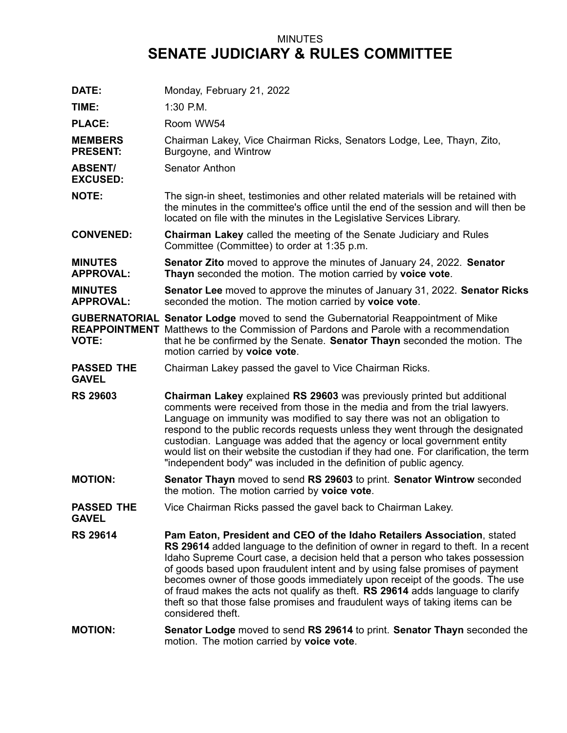## MINUTES **SENATE JUDICIARY & RULES COMMITTEE**

| DATE:                              | Monday, February 21, 2022                                                                                                                                                                                                                                                                                                                                                                                                                                                                                                                                                                             |
|------------------------------------|-------------------------------------------------------------------------------------------------------------------------------------------------------------------------------------------------------------------------------------------------------------------------------------------------------------------------------------------------------------------------------------------------------------------------------------------------------------------------------------------------------------------------------------------------------------------------------------------------------|
| TIME:                              | $1:30$ P.M.                                                                                                                                                                                                                                                                                                                                                                                                                                                                                                                                                                                           |
| <b>PLACE:</b>                      | Room WW54                                                                                                                                                                                                                                                                                                                                                                                                                                                                                                                                                                                             |
| <b>MEMBERS</b><br><b>PRESENT:</b>  | Chairman Lakey, Vice Chairman Ricks, Senators Lodge, Lee, Thayn, Zito,<br>Burgoyne, and Wintrow                                                                                                                                                                                                                                                                                                                                                                                                                                                                                                       |
| <b>ABSENT/</b><br><b>EXCUSED:</b>  | Senator Anthon                                                                                                                                                                                                                                                                                                                                                                                                                                                                                                                                                                                        |
| <b>NOTE:</b>                       | The sign-in sheet, testimonies and other related materials will be retained with<br>the minutes in the committee's office until the end of the session and will then be<br>located on file with the minutes in the Legislative Services Library.                                                                                                                                                                                                                                                                                                                                                      |
| <b>CONVENED:</b>                   | <b>Chairman Lakey called the meeting of the Senate Judiciary and Rules</b><br>Committee (Committee) to order at 1:35 p.m.                                                                                                                                                                                                                                                                                                                                                                                                                                                                             |
| <b>MINUTES</b><br><b>APPROVAL:</b> | <b>Senator Zito</b> moved to approve the minutes of January 24, 2022. Senator<br>Thayn seconded the motion. The motion carried by voice vote.                                                                                                                                                                                                                                                                                                                                                                                                                                                         |
| <b>MINUTES</b><br><b>APPROVAL:</b> | Senator Lee moved to approve the minutes of January 31, 2022. Senator Ricks<br>seconded the motion. The motion carried by voice vote.                                                                                                                                                                                                                                                                                                                                                                                                                                                                 |
| <b>VOTE:</b>                       | <b>GUBERNATORIAL Senator Lodge</b> moved to send the Gubernatorial Reappointment of Mike<br><b>REAPPOINTMENT</b> Matthews to the Commission of Pardons and Parole with a recommendation<br>that he be confirmed by the Senate. Senator Thayn seconded the motion. The<br>motion carried by voice vote.                                                                                                                                                                                                                                                                                                |
| <b>PASSED THE</b><br><b>GAVEL</b>  | Chairman Lakey passed the gavel to Vice Chairman Ricks.                                                                                                                                                                                                                                                                                                                                                                                                                                                                                                                                               |
| <b>RS 29603</b>                    | Chairman Lakey explained RS 29603 was previously printed but additional<br>comments were received from those in the media and from the trial lawyers.<br>Language on immunity was modified to say there was not an obligation to<br>respond to the public records requests unless they went through the designated<br>custodian. Language was added that the agency or local government entity<br>would list on their website the custodian if they had one. For clarification, the term<br>"independent body" was included in the definition of public agency.                                       |
| <b>MOTION:</b>                     | Senator Thayn moved to send RS 29603 to print. Senator Wintrow seconded<br>the motion. The motion carried by voice vote.                                                                                                                                                                                                                                                                                                                                                                                                                                                                              |
| <b>PASSED THE</b><br><b>GAVEL</b>  | Vice Chairman Ricks passed the gavel back to Chairman Lakey.                                                                                                                                                                                                                                                                                                                                                                                                                                                                                                                                          |
| <b>RS 29614</b>                    | Pam Eaton, President and CEO of the Idaho Retailers Association, stated<br>RS 29614 added language to the definition of owner in regard to theft. In a recent<br>Idaho Supreme Court case, a decision held that a person who takes possession<br>of goods based upon fraudulent intent and by using false promises of payment<br>becomes owner of those goods immediately upon receipt of the goods. The use<br>of fraud makes the acts not qualify as theft. RS 29614 adds language to clarify<br>theft so that those false promises and fraudulent ways of taking items can be<br>considered theft. |
| <b>MOTION:</b>                     | <b>Senator Lodge</b> moved to send RS 29614 to print. Senator Thayn seconded the<br>motion. The motion carried by voice vote.                                                                                                                                                                                                                                                                                                                                                                                                                                                                         |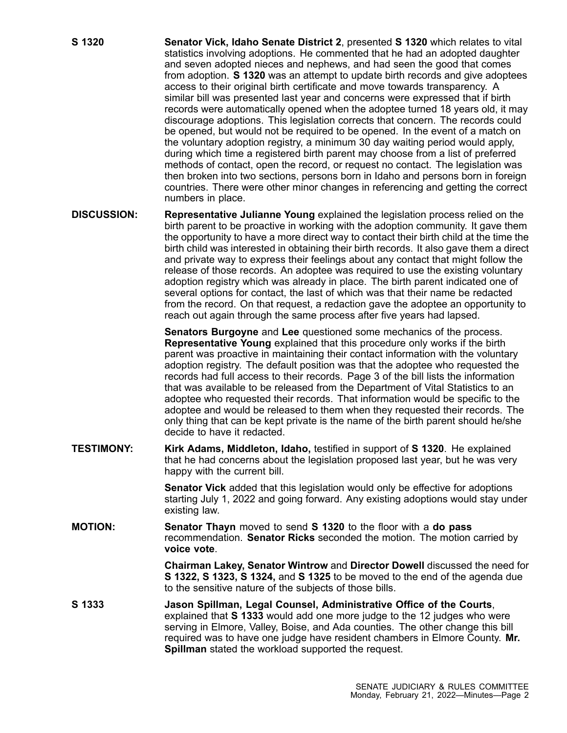- **S 1320 Senator Vick, Idaho Senate District 2**, presented **S 1320** which relates to vital statistics involving adoptions. He commented that he had an adopted daughter and seven adopted nieces and nephews, and had seen the good that comes from adoption. **S 1320** was an attempt to update birth records and give adoptees access to their original birth certificate and move towards transparency. A similar bill was presented last year and concerns were expressed that if birth records were automatically opened when the adoptee turned 18 years old, it may discourage adoptions. This legislation corrects that concern. The records could be opened, but would not be required to be opened. In the event of <sup>a</sup> match on the voluntary adoption registry, <sup>a</sup> minimum 30 day waiting period would apply, during which time <sup>a</sup> registered birth parent may choose from <sup>a</sup> list of preferred methods of contact, open the record, or request no contact. The legislation was then broken into two sections, persons born in Idaho and persons born in foreign countries. There were other minor changes in referencing and getting the correct numbers in place.
- **DISCUSSION: Representative Julianne Young** explained the legislation process relied on the birth parent to be proactive in working with the adoption community. It gave them the opportunity to have <sup>a</sup> more direct way to contact their birth child at the time the birth child was interested in obtaining their birth records. It also gave them <sup>a</sup> direct and private way to express their feelings about any contact that might follow the release of those records. An adoptee was required to use the existing voluntary adoption registry which was already in place. The birth parent indicated one of several options for contact, the last of which was that their name be redacted from the record. On that request, <sup>a</sup> redaction gave the adoptee an opportunity to reach out again through the same process after five years had lapsed.

**Senators Burgoyne** and **Lee** questioned some mechanics of the process. **Representative Young** explained that this procedure only works if the birth parent was proactive in maintaining their contact information with the voluntary adoption registry. The default position was that the adoptee who requested the records had full access to their records. Page 3 of the bill lists the information that was available to be released from the Department of Vital Statistics to an adoptee who requested their records. That information would be specific to the adoptee and would be released to them when they requested their records. The only thing that can be kept private is the name of the birth parent should he/she decide to have it redacted.

**TESTIMONY: Kirk Adams, Middleton, Idaho,** testified in support of **S 1320**. He explained that he had concerns about the legislation proposed last year, but he was very happy with the current bill.

> **Senator Vick** added that this legislation would only be effective for adoptions starting July 1, 2022 and going forward. Any existing adoptions would stay under existing law.

**MOTION: Senator Thayn** moved to send **S 1320** to the floor with <sup>a</sup> **do pass** recommendation. **Senator Ricks** seconded the motion. The motion carried by **voice vote**.

> **Chairman Lakey, Senator Wintrow** and **Director Dowell** discussed the need for **S 1322, S 1323, S 1324,** and **S 1325** to be moved to the end of the agenda due to the sensitive nature of the subjects of those bills.

**S 1333 Jason Spillman, Legal Counsel, Administrative Office of the Courts**, explained that **S 1333** would add one more judge to the 12 judges who were serving in Elmore, Valley, Boise, and Ada counties. The other change this bill required was to have one judge have resident chambers in Elmore County. **Mr. Spillman** stated the workload supported the request.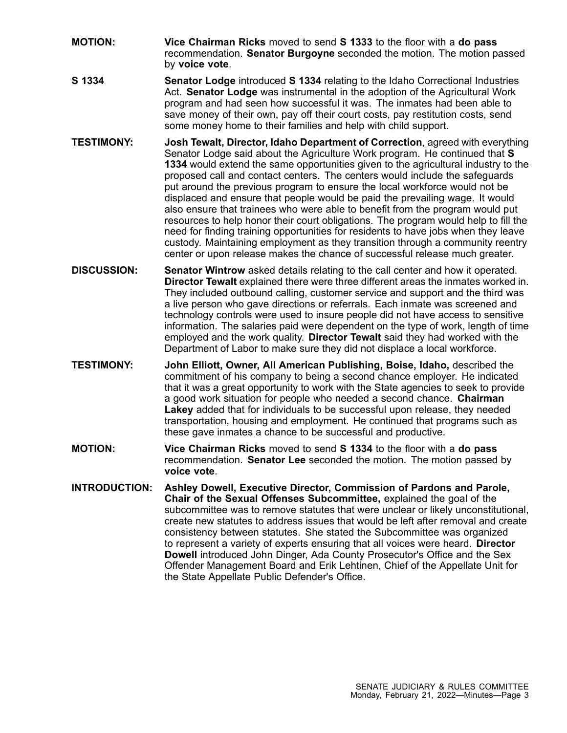- **MOTION: Vice Chairman Ricks** moved to send **S 1333** to the floor with <sup>a</sup> **do pass** recommendation. **Senator Burgoyne** seconded the motion. The motion passed by **voice vote**.
- **S 1334 Senator Lodge** introduced **S 1334** relating to the Idaho Correctional Industries Act. **Senator Lodge** was instrumental in the adoption of the Agricultural Work program and had seen how successful it was. The inmates had been able to save money of their own, pay off their court costs, pay restitution costs, send some money home to their families and help with child support.
- **TESTIMONY: Josh Tewalt, Director, Idaho Department of Correction**, agreed with everything Senator Lodge said about the Agriculture Work program. He continued that **S 1334** would extend the same opportunities given to the agricultural industry to the proposed call and contact centers. The centers would include the safeguards put around the previous program to ensure the local workforce would not be displaced and ensure that people would be paid the prevailing wage. It would also ensure that trainees who were able to benefit from the program would put resources to help honor their court obligations. The program would help to fill the need for finding training opportunities for residents to have jobs when they leave custody. Maintaining employment as they transition through <sup>a</sup> community reentry center or upon release makes the chance of successful release much greater.
- **DISCUSSION: Senator Wintrow** asked details relating to the call center and how it operated. **Director Tewalt** explained there were three different areas the inmates worked in. They included outbound calling, customer service and support and the third was <sup>a</sup> live person who gave directions or referrals. Each inmate was screened and technology controls were used to insure people did not have access to sensitive information. The salaries paid were dependent on the type of work, length of time employed and the work quality. **Director Tewalt** said they had worked with the Department of Labor to make sure they did not displace <sup>a</sup> local workforce.
- **TESTIMONY: John Elliott, Owner, All American Publishing, Boise, Idaho,** described the commitment of his company to being <sup>a</sup> second chance employer. He indicated that it was <sup>a</sup> great opportunity to work with the State agencies to seek to provide <sup>a</sup> good work situation for people who needed <sup>a</sup> second chance. **Chairman Lakey** added that for individuals to be successful upon release, they needed transportation, housing and employment. He continued that programs such as these gave inmates <sup>a</sup> chance to be successful and productive.
- **MOTION: Vice Chairman Ricks** moved to send **S 1334** to the floor with <sup>a</sup> **do pass** recommendation. **Senator Lee** seconded the motion. The motion passed by **voice vote**.
- **INTRODUCTION: Ashley Dowell, Executive Director, Commission of Pardons and Parole, Chair of the Sexual Offenses Subcommittee,** explained the goal of the subcommittee was to remove statutes that were unclear or likely unconstitutional, create new statutes to address issues that would be left after removal and create consistency between statutes. She stated the Subcommittee was organized to represent <sup>a</sup> variety of experts ensuring that all voices were heard. **Director Dowell** introduced John Dinger, Ada County Prosecutor's Office and the Sex Offender Management Board and Erik Lehtinen, Chief of the Appellate Unit for the State Appellate Public Defender's Office.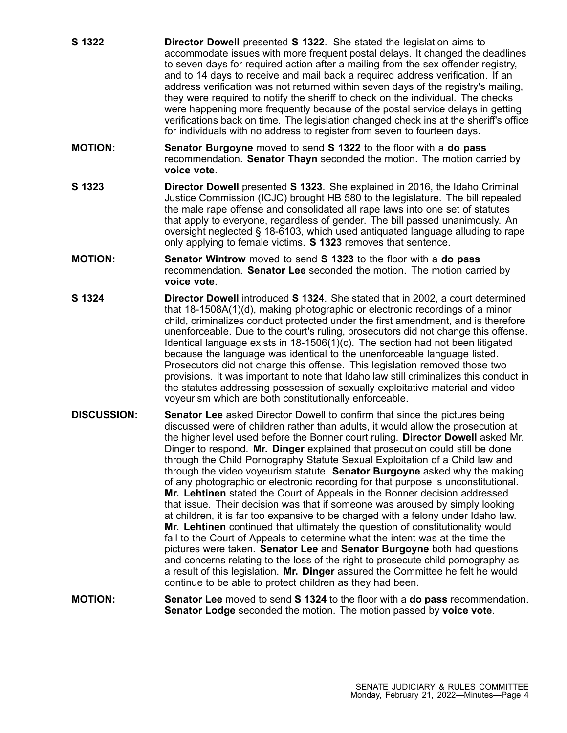- **S 1322 Director Dowell** presented **S 1322**. She stated the legislation aims to accommodate issues with more frequent postal delays. It changed the deadlines to seven days for required action after <sup>a</sup> mailing from the sex offender registry, and to 14 days to receive and mail back <sup>a</sup> required address verification. If an address verification was not returned within seven days of the registry's mailing, they were required to notify the sheriff to check on the individual. The checks were happening more frequently because of the postal service delays in getting verifications back on time. The legislation changed check ins at the sheriff's office for individuals with no address to register from seven to fourteen days.
- **MOTION: Senator Burgoyne** moved to send **S 1322** to the floor with <sup>a</sup> **do pass** recommendation. **Senator Thayn** seconded the motion. The motion carried by **voice vote**.
- **S 1323 Director Dowell** presented **S 1323**. She explained in 2016, the Idaho Criminal Justice Commission (ICJC) brought HB 580 to the legislature. The bill repealed the male rape offense and consolidated all rape laws into one set of statutes that apply to everyone, regardless of gender. The bill passed unanimously. An oversight neglected § 18-6103, which used antiquated language alluding to rape only applying to female victims. **S 1323** removes that sentence.
- **MOTION: Senator Wintrow** moved to send **S 1323** to the floor with <sup>a</sup> **do pass** recommendation. **Senator Lee** seconded the motion. The motion carried by **voice vote**.
- **S 1324 Director Dowell** introduced **S 1324**. She stated that in 2002, <sup>a</sup> court determined that 18-1508A(1)(d), making photographic or electronic recordings of <sup>a</sup> minor child, criminalizes conduct protected under the first amendment, and is therefore unenforceable. Due to the court's ruling, prosecutors did not change this offense. Identical language exists in 18-1506(1)(c). The section had not been litigated because the language was identical to the unenforceable language listed. Prosecutors did not charge this offense. This legislation removed those two provisions. It was important to note that Idaho law still criminalizes this conduct in the statutes addressing possession of sexually exploitative material and video voyeurism which are both constitutionally enforceable.
- **DISCUSSION: Senator Lee** asked Director Dowell to confirm that since the pictures being discussed were of children rather than adults, it would allow the prosecution at the higher level used before the Bonner court ruling. **Director Dowell** asked Mr. Dinger to respond. **Mr. Dinger** explained that prosecution could still be done through the Child Pornography Statute Sexual Exploitation of <sup>a</sup> Child law and through the video voyeurism statute. **Senator Burgoyne** asked why the making of any photographic or electronic recording for that purpose is unconstitutional. **Mr. Lehtinen** stated the Court of Appeals in the Bonner decision addressed that issue. Their decision was that if someone was aroused by simply looking at children, it is far too expansive to be charged with <sup>a</sup> felony under Idaho law. **Mr. Lehtinen** continued that ultimately the question of constitutionality would fall to the Court of Appeals to determine what the intent was at the time the pictures were taken. **Senator Lee** and **Senator Burgoyne** both had questions and concerns relating to the loss of the right to prosecute child pornography as <sup>a</sup> result of this legislation. **Mr. Dinger** assured the Committee he felt he would continue to be able to protect children as they had been.
- **MOTION: Senator Lee** moved to send **S 1324** to the floor with <sup>a</sup> **do pass** recommendation. **Senator Lodge** seconded the motion. The motion passed by **voice vote**.